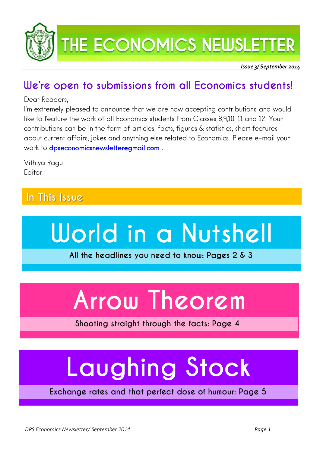

## THE ECONOMICS NEWSLETTER

ļ *Issue 3/ September 2014* 

### **We're open to submissions from all Economics students!**

#### Dear Readers,

I'm extremely pleased to announce that we are now accepting contributions and would like to feature the work of all Economics students from Classes 8,9,10, 11 and 12. Your contributions can be in the form of articles, facts, figures & statistics, short features about current affairs, jokes and anything else related to Economics. Please e-mail your work to [dpseconomicsnewsletter@gmail.com](mailto:dpseconomicsnewsletter@gmail.com).

Vithiya Ragu **Editor** 

### **In This Issue**



**All the headlines you need to know: Pages 2 & 3**

## **Arrow Theorem**

**Shooting straight through the facts: Page 4**

## **Laughing Stock**

**Exchange rates and that perfect dose of humour: Page 5**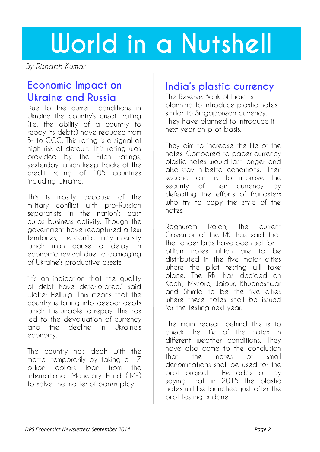## **World in a Nutshell**

*By Rishabh Kumar*

### **Economic Impact on Ukraine and Russia**

Due to the current conditions in Ukraine the country's credit rating (i.e. the ability of a country to repay its debts) have reduced from B- to CCC. This rating is a signal of high risk of default. This rating was provided by the Fitch ratings, yesterday, which keep tracks of the credit rating of 105 countries including Ukraine.

This is mostly because of the military conflict with pro-Russian separatists in the nation's east curbs business activity. Though the government have recaptured a few territories, the conflict may intensify which man cause a delay in economic revival due to damaging of Ukraine's productive assets.

"It's an indication that the quality of debt have deteriorated," said Walter Hellwig. This means that the country is falling into deeper debts which it is unable to repay. This has led to the devaluation of currency and the decline in Ukraine's economy.

The country has dealt with the matter temporarily by taking a 17 billion dollars loan from the International Monetary Fund (IMF) to solve the matter of bankruptcy.

### **India's plastic currency**

The Reserve Bank of India is planning to introduce plastic notes similar to Singaporean currency. They have planned to introduce it next year on pilot basis.

They aim to increase the life of the notes. Compared to paper currency plastic notes would last longer and also stay in better conditions. Their second aim is to improve the security of their currency by defeating the efforts of fraudsters who try to copy the style of the notes.

Raghuram Rajan, the current Governor of the RBI has said that the tender bids have been set for 1 billion notes which are to be distributed in the five major cities where the pilot testing will take place. The RBI has decided on Kochi, Mysore, Jaipur, Bhubneshwar and Shimla to be the five cities where these notes shall be issued for the testing next year.

The main reason behind this is to check the life of the notes in different weather conditions. They have also come to the conclusion that the notes of small denominations shall be used for the pilot project. He adds on by saying that in 2015 the plastic notes will be launched just after the pilot testing is done.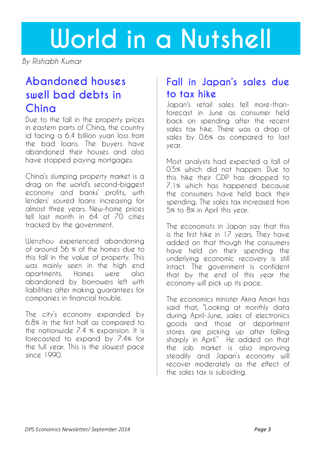## **World in a Nutshell**

*By Rishabh Kumar*

### **Abandoned houses swell bad debts in China**

Due to the fall in the property prices in eastern parts of China, the country id facing a 6.4 billion yuan loss from the bad loans. The buyers have abandoned their houses and also have stopped paying mortgages.

China's slumping property market is a drag on the world's second-biggest economy and banks' profits, with lenders' soured loans increasing for almost three years. New-home prices fell last month in 64 of 70 cities tracked by the government.

Wenzhou experienced abandoning of around 56 % of the homes due to this fall in the value of property. This was mainly seen in the high end apartments. Homes were also abandoned by borrowers left with liabilities after making guarantees for companies in financial trouble.

The city's economy expanded by 6.8% in the first half as compared to the nationwide 7.4 % expansion. It is forecasted to expand by 7.4% for the full year. This is the slowest pace since 1990.

### **Fall in Japan's sales due to tax hike**

Japan's retail sales fell more-thanforecast in June as consumer held back on spending after the recent sales tax hike. There was a drop of sales by 0.6% as compared to last year.

Most analysts had expected a fall of 0.5% which did not happen. Due to this hike their GDP has dropped to 7.1% which has happened because the consumers have held back their spending. The sales tax increased from 5% to 8% in April this year.

The economists in Japan say that this is the first hike in 17 years. They have added on that though the consumers have held on their spending the underlying economic recovery is still intact. The government is confident that by the end of this year the economy will pick up its pace.

The economics minister Akira Amari has said that, "Looking at monthly data during April-June, sales of electronics goods and those at department stores are picking up after falling sharply in April." He added on that the job market is also improving steadily and Japan's economy will recover moderately as the effect of the sales tax is subsiding.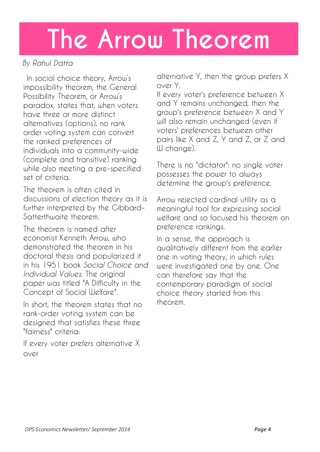## **The Arrow Theorem**

#### *By Rahul Datta*

 In [social choice theory,](http://en.wikipedia.org/wiki/Social_choice_theory) Arrow's impossibility theorem, the General Possibility Theorem, or Arrow's paradox, states that, when voters have three or more distinct alternatives (options), no [rank](http://en.wikipedia.org/wiki/Rank_order)  [order](http://en.wikipedia.org/wiki/Rank_order) [voting system](http://en.wikipedia.org/wiki/Voting_system) can convert the ranked preferences of individuals into a community-wide (complete and transitive) ranking while also meeting a pre-specified set of criteria.

The theorem is often cited in discussions of election theory as it is further interpreted by the [Gibbard](http://en.wikipedia.org/wiki/Gibbard%E2%80%93Satterthwaite_theorem)– [Satterthwaite theorem.](http://en.wikipedia.org/wiki/Gibbard%E2%80%93Satterthwaite_theorem)

The theorem is named after economist [Kenneth Arrow,](http://en.wikipedia.org/wiki/Kenneth_Arrow) who demonstrated the theorem in his doctoral thesis and popularized it in his 1951 book *[Social Choice and](http://en.wikipedia.org/wiki/Social_Choice_and_Individual_Values)  [Individual Values](http://en.wikipedia.org/wiki/Social_Choice_and_Individual_Values)*. The original paper was titled "A Difficulty in the Concept of Social Welfare".

In short, the theorem states that no rank-order voting system can be designed that satisfies these three "fairness" criteria:

If every voter prefers alternative X over

alternative Y, then the group prefers X over Y.

If every voter's preference between X and Y remains unchanged, then the group's preference between X and Y will also remain unchanged (even if voters' preferences between other pairs like X and Z, Y and Z, or Z and W change).

There is no "dictator": no single voter possesses the power to always determine the group's preference.

Arrow rejected cardinal utility as a meaningful tool for expressing social welfare and so focused his theorem on preference rankings.

In a sense, the approach is qualitatively different from the earlier one in voting theory, in which rules were investigated one by one. One can therefore say that the contemporary paradigm of social choice theory started from this theorem.